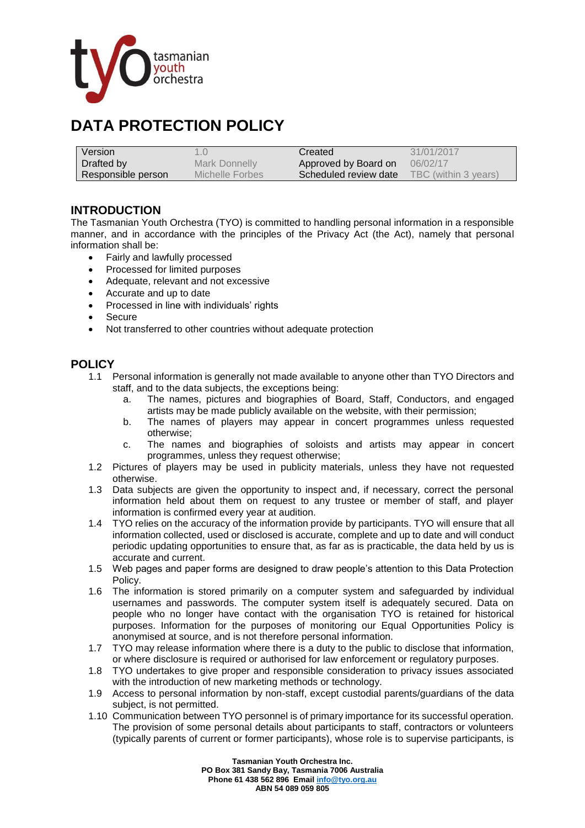

## **DATA PROTECTION POLICY**

| Version            |                 | Created               | 31/01/2017           |
|--------------------|-----------------|-----------------------|----------------------|
| Drafted by         | Mark Donnelly   | Approved by Board on  | 06/02/17             |
| Responsible person | Michelle Forbes | Scheduled review date | TBC (within 3 years) |

## **INTRODUCTION**

The Tasmanian Youth Orchestra (TYO) is committed to handling personal information in a responsible manner, and in accordance with the principles of the Privacy Act (the Act), namely that personal information shall be:

- Fairly and lawfully processed
- Processed for limited purposes
- Adequate, relevant and not excessive
- Accurate and up to date
- Processed in line with individuals' rights
- Secure
- Not transferred to other countries without adequate protection

## **POLICY**

- 1.1 Personal information is generally not made available to anyone other than TYO Directors and staff, and to the data subjects, the exceptions being:
	- a. The names, pictures and biographies of Board, Staff, Conductors, and engaged artists may be made publicly available on the website, with their permission;
	- b. The names of players may appear in concert programmes unless requested otherwise;
	- c. The names and biographies of soloists and artists may appear in concert programmes, unless they request otherwise;
- 1.2 Pictures of players may be used in publicity materials, unless they have not requested otherwise.
- 1.3 Data subjects are given the opportunity to inspect and, if necessary, correct the personal information held about them on request to any trustee or member of staff, and player information is confirmed every year at audition.
- 1.4 TYO relies on the accuracy of the information provide by participants. TYO will ensure that all information collected, used or disclosed is accurate, complete and up to date and will conduct periodic updating opportunities to ensure that, as far as is practicable, the data held by us is accurate and current.
- 1.5 Web pages and paper forms are designed to draw people's attention to this Data Protection Policy.
- 1.6 The information is stored primarily on a computer system and safeguarded by individual usernames and passwords. The computer system itself is adequately secured. Data on people who no longer have contact with the organisation TYO is retained for historical purposes. Information for the purposes of monitoring our Equal Opportunities Policy is anonymised at source, and is not therefore personal information.
- 1.7 TYO may release information where there is a duty to the public to disclose that information, or where disclosure is required or authorised for law enforcement or regulatory purposes.
- 1.8 TYO undertakes to give proper and responsible consideration to privacy issues associated with the introduction of new marketing methods or technology.
- 1.9 Access to personal information by non-staff, except custodial parents/guardians of the data subject, is not permitted.
- 1.10 Communication between TYO personnel is of primary importance for its successful operation. The provision of some personal details about participants to staff, contractors or volunteers (typically parents of current or former participants), whose role is to supervise participants, is

**Tasmanian Youth Orchestra Inc. PO Box 381 Sandy Bay, Tasmania 7006 Australia Phone 61 438 562 896 Emai[l info@tyo.org.au](mailto:info@tyo.org.au) ABN 54 089 059 805**